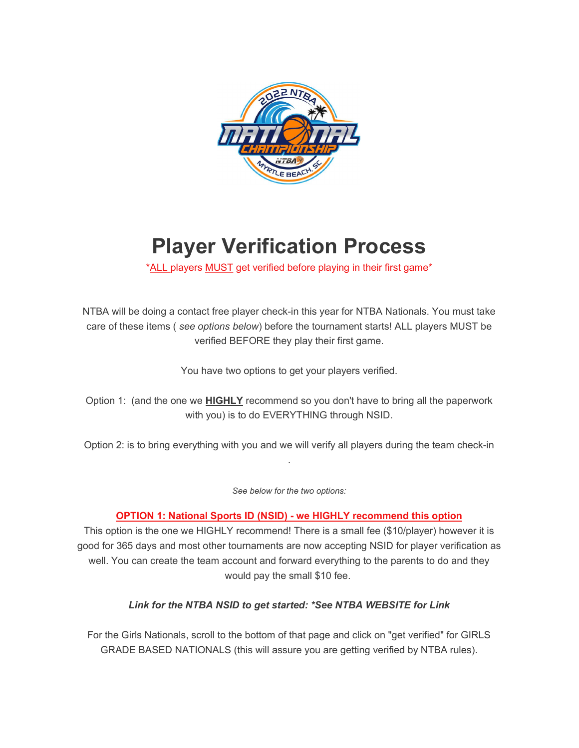

# Player Verification Process

\*ALL players MUST get verified before playing in their first game\*

NTBA will be doing a contact free player check-in this year for NTBA Nationals. You must take care of these items ( see options below) before the tournament starts! ALL players MUST be verified BEFORE they play their first game.

You have two options to get your players verified.

Option 1: (and the one we HIGHLY recommend so you don't have to bring all the paperwork with you) is to do EVERYTHING through NSID.

Option 2: is to bring everything with you and we will verify all players during the team check-in .

See below for the two options:

#### OPTION 1: National Sports ID (NSID) - we HIGHLY recommend this option

This option is the one we HIGHLY recommend! There is a small fee (\$10/player) however it is good for 365 days and most other tournaments are now accepting NSID for player verification as well. You can create the team account and forward everything to the parents to do and they would pay the small \$10 fee.

### Link for the NTBA NSID to get started: \*See NTBA WEBSITE for Link

For the Girls Nationals, scroll to the bottom of that page and click on "get verified" for GIRLS GRADE BASED NATIONALS (this will assure you are getting verified by NTBA rules).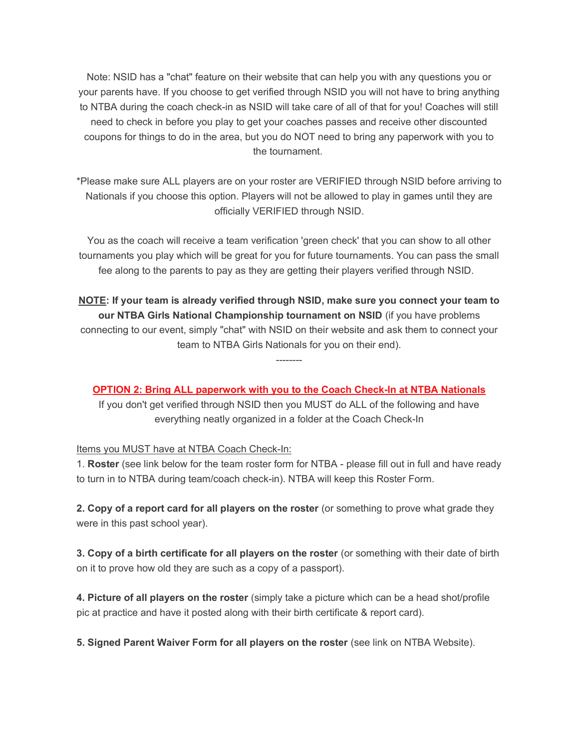Note: NSID has a "chat" feature on their website that can help you with any questions you or your parents have. If you choose to get verified through NSID you will not have to bring anything to NTBA during the coach check-in as NSID will take care of all of that for you! Coaches will still need to check in before you play to get your coaches passes and receive other discounted coupons for things to do in the area, but you do NOT need to bring any paperwork with you to the tournament.

\*Please make sure ALL players are on your roster are VERIFIED through NSID before arriving to Nationals if you choose this option. Players will not be allowed to play in games until they are officially VERIFIED through NSID.

You as the coach will receive a team verification 'green check' that you can show to all other tournaments you play which will be great for you for future tournaments. You can pass the small fee along to the parents to pay as they are getting their players verified through NSID.

NOTE: If your team is already verified through NSID, make sure you connect your team to our NTBA Girls National Championship tournament on NSID (if you have problems connecting to our event, simply "chat" with NSID on their website and ask them to connect your team to NTBA Girls Nationals for you on their end).

OPTION 2: Bring ALL paperwork with you to the Coach Check-In at NTBA Nationals

--------

If you don't get verified through NSID then you MUST do ALL of the following and have everything neatly organized in a folder at the Coach Check-In

#### Items you MUST have at NTBA Coach Check-In:

1. Roster (see link below for the team roster form for NTBA - please fill out in full and have ready to turn in to NTBA during team/coach check-in). NTBA will keep this Roster Form.

2. Copy of a report card for all players on the roster (or something to prove what grade they were in this past school year).

3. Copy of a birth certificate for all players on the roster (or something with their date of birth on it to prove how old they are such as a copy of a passport).

4. Picture of all players on the roster (simply take a picture which can be a head shot/profile pic at practice and have it posted along with their birth certificate & report card).

5. Signed Parent Waiver Form for all players on the roster (see link on NTBA Website).